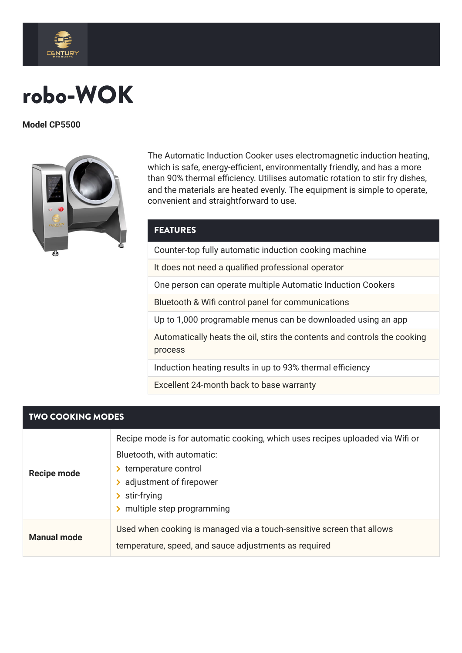

## robo-WOK

**Model CP5500**



The Automatic Induction Cooker uses electromagnetic induction heating, which is safe, energy-efficient, environmentally friendly, and has a more than 90% thermal efficiency. Utilises automatic rotation to stir fry dishes, and the materials are heated evenly. The equipment is simple to operate, convenient and straightforward to use.

## **FEATURES**

Counter-top fully automatic induction cooking machine

It does not need a qualified professional operator

One person can operate multiple Automatic Induction Cookers

Bluetooth & Wifi control panel for communications

Up to 1,000 programable menus can be downloaded using an app

Automatically heats the oil, stirs the contents and controls the cooking process

Induction heating results in up to 93% thermal efficiency

Excellent 24-month back to base warranty

## TWO COOKING MODES

| <b>Recipe mode</b> | Recipe mode is for automatic cooking, which uses recipes uploaded via Wifi or<br>Bluetooth, with automatic:<br>> temperature control<br>> adjustment of firepower<br>$\triangleright$ stir-frying<br>multiple step programming |  |
|--------------------|--------------------------------------------------------------------------------------------------------------------------------------------------------------------------------------------------------------------------------|--|
| <b>Manual mode</b> | Used when cooking is managed via a touch-sensitive screen that allows<br>temperature, speed, and sauce adjustments as required                                                                                                 |  |